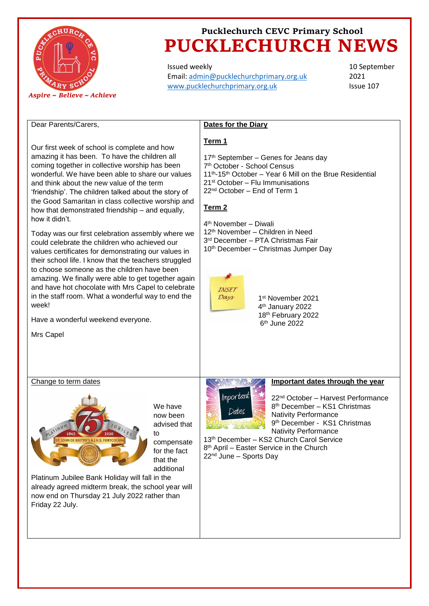

Issued weekly Email: [admin@pucklechurchprimary.org.uk](mailto:admin@pucklechurchprimary.org.uk) [www.pucklechurchprimary.org.uk](http://www.pucklechurchprimary.org.uk/)

10 September 2021 Issue 107

### Dear Parents/Carers,

Our first week of school is complete and how amazing it has been. To have the children all coming together in collective worship has been wonderful. We have been able to share our values and think about the new value of the term 'friendship'. The children talked about the story of the Good Samaritan in class collective worship and how that demonstrated friendship – and equally, how it didn't.

Today was our first celebration assembly where we could celebrate the children who achieved our values certificates for demonstrating our values in their school life. I know that the teachers struggled to choose someone as the children have been amazing. We finally were able to get together again and have hot chocolate with Mrs Capel to celebrate in the staff room. What a wonderful way to end the week!

Have a wonderful weekend everyone.

Mrs Capel

### **Dates for the Diary**

#### **Term 1**

 $17<sup>th</sup>$  September – Genes for Jeans day th October - School Census th-15th October – Year 6 Mill on the Brue Residential st October – Flu Immunisations nd October – End of Term 1

### **Term 2**

 th November – Diwali th November – Children in Need rd December – PTA Christmas Fair 10<sup>th</sup> December – Christmas Jumper Day



 st November 2021 th January 2022 th February 2022 th June 2022

#### Change to term dates



We have now been advised that to compensate for the fact that the additional

Platinum Jubilee Bank Holiday will fall in the already agreed midterm break, the school year will now end on Thursday 21 July 2022 rather than Friday 22 July.



### **Important dates through the year**

22nd October – Harvest Performance 8 th December – KS1 Christmas Nativity Performance 9 th December - KS1 Christmas Nativity Performance

13th December – KS2 Church Carol Service 8 th April – Easter Service in the Church 22nd June – Sports Day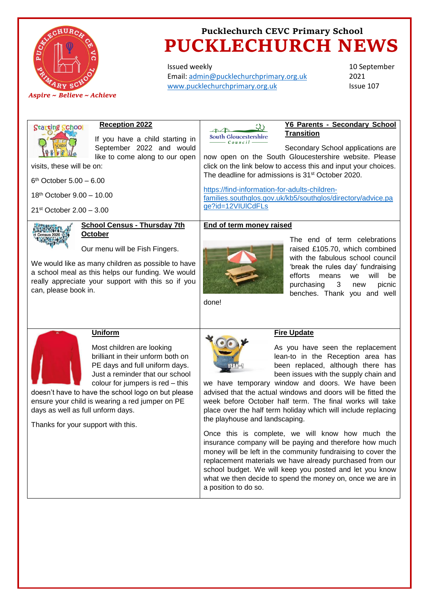

Issued weekly Email: [admin@pucklechurchprimary.org.uk](mailto:admin@pucklechurchprimary.org.uk) [www.pucklechurchprimary.org.uk](http://www.pucklechurchprimary.org.uk/)

10 September 2021 Issue 107

| Starting School                                                                                                                                                                                                                                                                                                                                                               | <b>Reception 2022</b>                                                                                                                                                                                                                             | ひき                                                                                                                                                                                                                                                                                                                                                                                                                                                                                                                                                                                                                                          | Y6 Parents - Secondary School                                                                                                                                                                                                                                                                |
|-------------------------------------------------------------------------------------------------------------------------------------------------------------------------------------------------------------------------------------------------------------------------------------------------------------------------------------------------------------------------------|---------------------------------------------------------------------------------------------------------------------------------------------------------------------------------------------------------------------------------------------------|---------------------------------------------------------------------------------------------------------------------------------------------------------------------------------------------------------------------------------------------------------------------------------------------------------------------------------------------------------------------------------------------------------------------------------------------------------------------------------------------------------------------------------------------------------------------------------------------------------------------------------------------|----------------------------------------------------------------------------------------------------------------------------------------------------------------------------------------------------------------------------------------------------------------------------------------------|
|                                                                                                                                                                                                                                                                                                                                                                               | If you have a child starting in                                                                                                                                                                                                                   | South Gloucestershire                                                                                                                                                                                                                                                                                                                                                                                                                                                                                                                                                                                                                       | <b>Transition</b>                                                                                                                                                                                                                                                                            |
| visits, these will be on:<br>$6th$ October 5.00 - 6.00<br>18 <sup>th</sup> October 9.00 - 10.00<br>$21st October 2.00 - 3.00$                                                                                                                                                                                                                                                 | September 2022 and would<br>like to come along to our open                                                                                                                                                                                        | Council<br>https://find-information-for-adults-children-<br>ge?id=12VIUICdFLs                                                                                                                                                                                                                                                                                                                                                                                                                                                                                                                                                               | Secondary School applications are<br>now open on the South Gloucestershire website. Please<br>click on the link below to access this and input your choices.<br>The deadline for admissions is 31 <sup>st</sup> October 2020.<br>families.southglos.gov.uk/kb5/southglos/directory/advice.pa |
| can, please book in.                                                                                                                                                                                                                                                                                                                                                          | <b>School Census - Thursday 7th</b><br>October<br>Our menu will be Fish Fingers.<br>We would like as many children as possible to have<br>a school meal as this helps our funding. We would<br>really appreciate your support with this so if you | End of term money raised<br>done!                                                                                                                                                                                                                                                                                                                                                                                                                                                                                                                                                                                                           | The end of term celebrations<br>raised £105.70, which combined<br>with the fabulous school council<br>'break the rules day' fundraising<br>efforts<br>will<br>means<br>we<br>be<br>3<br>purchasing<br>picnic<br>new<br>benches. Thank you and well                                           |
| <b>Uniform</b><br>Most children are looking<br>brilliant in their unform both on<br>PE days and full uniform days.<br>Just a reminder that our school<br>colour for jumpers is red - this<br>doesn't have to have the school logo on but please<br>ensure your child is wearing a red jumper on PE<br>days as well as full unform days.<br>Thanks for your support with this. |                                                                                                                                                                                                                                                   | <b>Fire Update</b><br>As you have seen the replacement<br>lean-to in the Reception area has<br>been replaced, although there has<br>been issues with the supply chain and<br>we have temporary window and doors. We have been<br>advised that the actual windows and doors will be fitted the<br>week before October half term. The final works will take<br>place over the half term holiday which will include replacing<br>the playhouse and landscaping.<br>Once this is complete, we will know how much the<br>insurance company will be paying and therefore how much<br>money will be left in the community fundraising to cover the |                                                                                                                                                                                                                                                                                              |
|                                                                                                                                                                                                                                                                                                                                                                               |                                                                                                                                                                                                                                                   | replacement materials we have already purchased from our<br>school budget. We will keep you posted and let you know<br>what we then decide to spend the money on, once we are in<br>a position to do so.                                                                                                                                                                                                                                                                                                                                                                                                                                    |                                                                                                                                                                                                                                                                                              |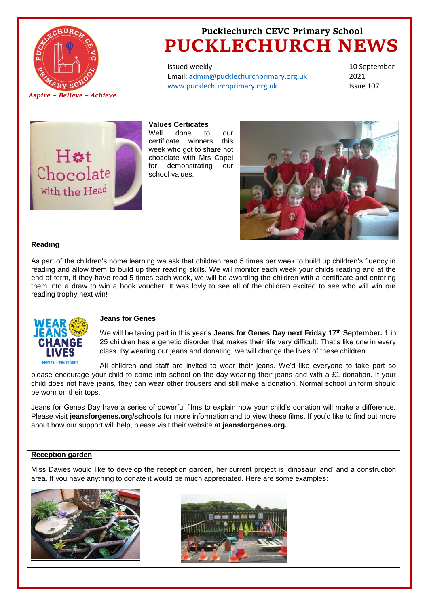

Issued weekly Email: [admin@pucklechurchprimary.org.uk](mailto:admin@pucklechurchprimary.org.uk) [www.pucklechurchprimary.org.uk](http://www.pucklechurchprimary.org.uk/)

10 September 2021 Issue 107



**Values Certicates** Well done to our certificate winners this week who got to share hot chocolate with Mrs Capel for demonstrating our school values.



### **Reading**

As part of the children's home learning we ask that children read 5 times per week to build up children's fluency in reading and allow them to build up their reading skills. We will monitor each week your childs reading and at the end of term, if they have read 5 times each week, we will be awarding the children with a certificate and entering them into a draw to win a book voucher! It was lovly to see all of the children excited to see who will win our reading trophy next win!



### **Jeans for Genes**

We will be taking part in this year's **Jeans for Genes Day next Friday 17th September.** 1 in 25 children has a genetic disorder that makes their life very difficult. That's like one in every class. By wearing our jeans and donating, we will change the lives of these children.

All children and staff are invited to wear their jeans. We'd like everyone to take part so please encourage your child to come into school on the day wearing their jeans and with a £1 donation. If your child does not have jeans, they can wear other trousers and still make a donation. Normal school uniform should be worn on their tops.

Jeans for Genes Day have a series of powerful films to explain how your child's donation will make a difference. Please visit **jeansforgenes.org/schools** for more information and to view these films. If you'd like to find out more about how our support will help, please visit their website at **jeansforgenes.org.**

#### **Reception garden**

Miss Davies would like to develop the reception garden, her current project is 'dinosaur land' and a construction area. If you have anything to donate it would be much appreciated. Here are some examples: